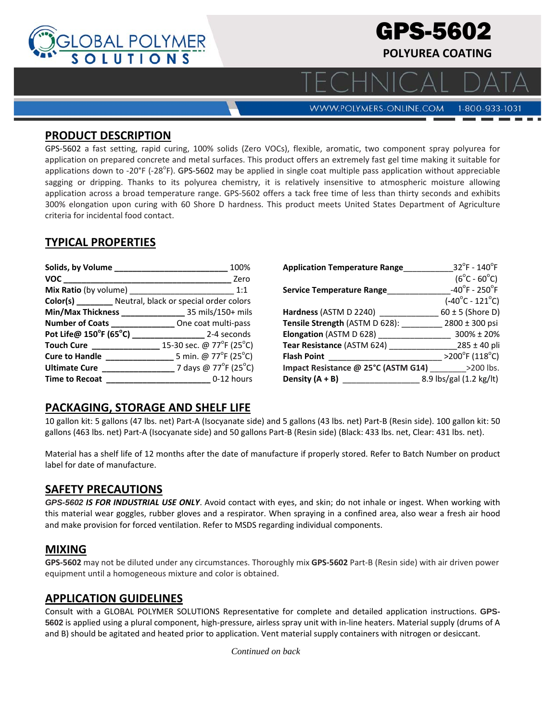

1-800-933-1031

**WWW.POLYMERS-ONLINE.COM** 

#### **PRODUCT DESCRIPTION**

GPS‐5602 a fast setting, rapid curing, 100% solids (Zero VOCs), flexible, aromatic, two component spray polyurea for application on prepared concrete and metal surfaces. This product offers an extremely fast gel time making it suitable for applications down to -20°F (-28°F). GPS-5602 may be applied in single coat multiple pass application without appreciable sagging or dripping. Thanks to its polyurea chemistry, it is relatively insensitive to atmospheric moisture allowing application across a broad temperature range. GPS‐5602 offers a tack free time of less than thirty seconds and exhibits 300% elongation upon curing with 60 Shore D hardness. This product meets United States Department of Agriculture criteria for incidental food contact.

# **TYPICAL PROPERTIES**

| Solids, by Volume __________ | 100%                                                                                         |
|------------------------------|----------------------------------------------------------------------------------------------|
| VOC                          | Zero                                                                                         |
| Mix Ratio (by volume)        | 1:1                                                                                          |
|                              | Color(s) ________ Neutral, black or special order colors                                     |
|                              |                                                                                              |
|                              |                                                                                              |
| Pot Life@ 150°F (65°C)       | 2-4 seconds                                                                                  |
|                              | 15-30 sec. @ 77°F (25°C)                                                                     |
| <b>Cure to Handle</b>        | $5 \text{ min.} \textcircled{a} \text{ } 77^{\circ} \text{F} \text{ } (25^{\circ} \text{C})$ |
| <b>Ultimate Cure</b>         | 7 days @ 77 <sup>o</sup> F (25 <sup>o</sup> C)                                               |
| <b>Time to Recoat</b>        | 0-12 hours                                                                                   |

| <b>Application Temperature Range</b> | $32^{\circ}$ F - 140 $^{\circ}$ F  |
|--------------------------------------|------------------------------------|
|                                      | $(6^{\circ}C - 60^{\circ}C)$       |
| <b>Service Temperature Range</b>     | $-40^{\circ}$ F - 250 $^{\circ}$ F |
|                                      | $(-40^{\circ}C - 121^{\circ}C)$    |
| Hardness (ASTM D 2240)               | $60 \pm 5$ (Shore D)               |
| Tensile Strength (ASTM D 628):       | 2800 ± 300 psi                     |
| Elongation (ASTM D 628)              | 300% ± 20%                         |
| Tear Resistance (ASTM 624)           | $285 \pm 40$ pli                   |
| <b>Flash Point</b>                   | $>200^{\circ}$ F (118°C)           |
| Impact Resistance @ 25°C (ASTM G14)  | >200 lbs.                          |
| Density $(A + B)$                    | 8.9 lbs/gal (1.2 kg/lt)            |

# **PACKAGING, STORAGE AND SHELF LIFE**

10 gallon kit: 5 gallons (47 lbs. net) Part‐A (Isocyanate side) and 5 gallons (43 lbs. net) Part‐B (Resin side). 100 gallon kit: 50 gallons (463 lbs. net) Part‐A (Isocyanate side) and 50 gallons Part‐B (Resin side) (Black: 433 lbs. net, Clear: 431 lbs. net).

Material has a shelf life of 12 months after the date of manufacture if properly stored. Refer to Batch Number on product label for date of manufacture.

# **SAFETY PRECAUTIONS**

*GPS-5602 IS FOR INDUSTRIAL USE ONLY*. Avoid contact with eyes, and skin; do not inhale or ingest. When working with this material wear goggles, rubber gloves and a respirator. When spraying in a confined area, also wear a fresh air hood and make provision for forced ventilation. Refer to MSDS regarding individual components.

### **MIXING**

**GPS‐5602** may not be diluted under any circumstances. Thoroughly mix **GPS‐5602** Part‐B (Resin side) with air driven power equipment until a homogeneous mixture and color is obtained.

### **APPLICATION GUIDELINES**

Consult with a GLOBAL POLYMER SOLUTIONS Representative for complete and detailed application instructions. **GPS-5602** is applied using a plural component, high‐pressure, airless spray unit with in‐line heaters. Material supply (drums of A and B) should be agitated and heated prior to application. Vent material supply containers with nitrogen or desiccant.

*Continued on back*